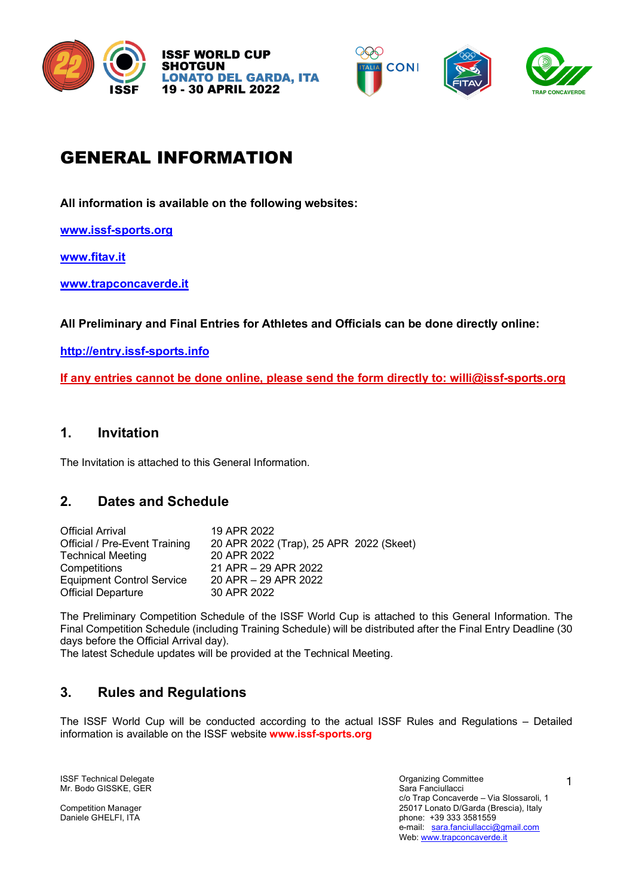







# GENERAL INFORMATION

**All information is available on the following websites:**

**www.issf-sports.org**

**www.fitav.it**

**www.trapconcaverde.it**

**All Preliminary and Final Entries for Athletes and Officials can be done directly online:**

**http://entry.issf-sports.info**

**If any entries cannot be done online, please send the form directly to: willi@issf-sports.org**

# **1. Invitation**

The Invitation is attached to this General Information.

# **2. Dates and Schedule**

| <b>Official Arrival</b>              | 19 APR 2022                             |
|--------------------------------------|-----------------------------------------|
| <b>Official / Pre-Event Training</b> | 20 APR 2022 (Trap), 25 APR 2022 (Skeet) |
| <b>Technical Meeting</b>             | 20 APR 2022                             |
| Competitions                         | 21 APR - 29 APR 2022                    |
| <b>Equipment Control Service</b>     | 20 APR - 29 APR 2022                    |
| <b>Official Departure</b>            | 30 APR 2022                             |

The Preliminary Competition Schedule of the ISSF World Cup is attached to this General Information. The Final Competition Schedule (including Training Schedule) will be distributed after the Final Entry Deadline (30 days before the Official Arrival day).

The latest Schedule updates will be provided at the Technical Meeting.

# **3. Rules and Regulations**

The ISSF World Cup will be conducted according to the actual ISSF Rules and Regulations – Detailed information is available on the ISSF website **www.issf-sports.org**

ISSF Technical Delegate<br>
Mr. Bodo GISSKE. GER<br>
Mr. Bodo GISSKE. GER Mr. Bodo GISSKE, GER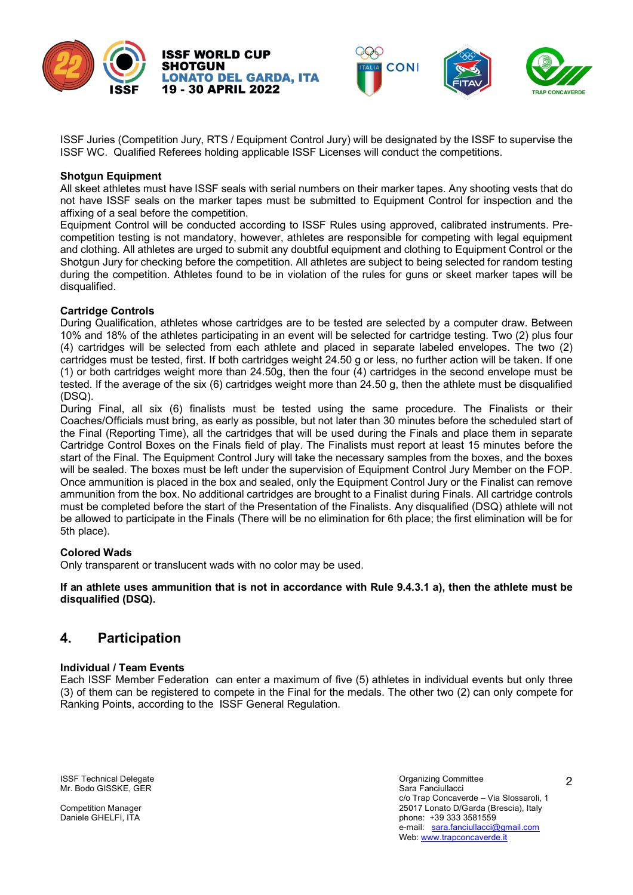



**CONI** 

#### **Shotgun Equipment**

All skeet athletes must have ISSF seals with serial numbers on their marker tapes. Any shooting vests that do not have ISSF seals on the marker tapes must be submitted to Equipment Control for inspection and the affixing of a seal before the competition.

Equipment Control will be conducted according to ISSF Rules using approved, calibrated instruments. Precompetition testing is not mandatory, however, athletes are responsible for competing with legal equipment and clothing. All athletes are urged to submit any doubtful equipment and clothing to Equipment Control or the Shotgun Jury for checking before the competition. All athletes are subject to being selected for random testing during the competition. Athletes found to be in violation of the rules for guns or skeet marker tapes will be disqualified.

#### **Cartridge Controls**

During Qualification, athletes whose cartridges are to be tested are selected by a computer draw. Between 10% and 18% of the athletes participating in an event will be selected for cartridge testing. Two (2) plus four (4) cartridges will be selected from each athlete and placed in separate labeled envelopes. The two (2) cartridges must be tested, first. If both cartridges weight 24.50 g or less, no further action will be taken. If one (1) or both cartridges weight more than 24.50g, then the four (4) cartridges in the second envelope must be tested. If the average of the six (6) cartridges weight more than 24.50 g, then the athlete must be disqualified (DSQ).

During Final, all six (6) finalists must be tested using the same procedure. The Finalists or their Coaches/Officials must bring, as early as possible, but not later than 30 minutes before the scheduled start of the Final (Reporting Time), all the cartridges that will be used during the Finals and place them in separate Cartridge Control Boxes on the Finals field of play. The Finalists must report at least 15 minutes before the start of the Final. The Equipment Control Jury will take the necessary samples from the boxes, and the boxes will be sealed. The boxes must be left under the supervision of Equipment Control Jury Member on the FOP. Once ammunition is placed in the box and sealed, only the Equipment Control Jury or the Finalist can remove ammunition from the box. No additional cartridges are brought to a Finalist during Finals. All cartridge controls must be completed before the start of the Presentation of the Finalists. Any disqualified (DSQ) athlete will not be allowed to participate in the Finals (There will be no elimination for 6th place; the first elimination will be for 5th place).

#### **Colored Wads**

Only transparent or translucent wads with no color may be used.

**ISSF WORLD CUP** 

**19 - 30 APRIL 2022** 

**LONATO DEL GARDA. ITA** 

**SHOTGUN** 

If an athlete uses ammunition that is not in accordance with Rule 9.4.3.1 a), then the athlete must be **disqualified (DSQ).**

# **4. Participation**

#### **Individual / Team Events**

Each ISSF Member Federation can enter a maximum of five (5) athletes in individual events but only three (3) of them can be registered to compete in the Final for the medals. The other two (2) can only compete for Ranking Points, according to the ISSF General Regulation.

**ISSF Technical Delegate** Organizing Committee Organizing Committee Mr. Bodo GISSKE, GER Sara Fanciullacci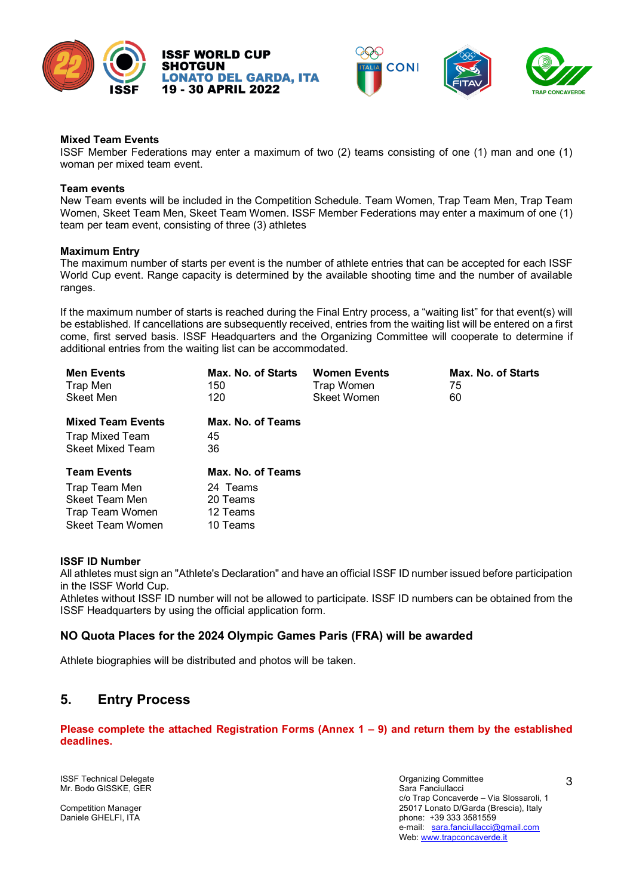







#### **Mixed Team Events**

ISSF Member Federations may enter a maximum of two (2) teams consisting of one (1) man and one (1) woman per mixed team event.

#### **Team events**

New Team events will be included in the Competition Schedule. Team Women, Trap Team Men, Trap Team Women, Skeet Team Men, Skeet Team Women. ISSF Member Federations may enter a maximum of one (1) team per team event, consisting of three (3) athletes

#### **Maximum Entry**

The maximum number of starts per event is the number of athlete entries that can be accepted for each ISSF World Cup event. Range capacity is determined by the available shooting time and the number of available ranges.

If the maximum number of starts is reached during the Final Entry process, a "waiting list" for that event(s) will be established. If cancellations are subsequently received, entries from the waiting list will be entered on a first come, first served basis. ISSF Headquarters and the Organizing Committee will cooperate to determine if additional entries from the waiting list can be accommodated.

| <b>Men Events</b><br>Max. No. of Starts<br>Trap Men<br>150<br>Skeet Men<br>120               |                                                                   | <b>Women Events</b><br>Trap Women<br><b>Skeet Women</b> | Max. No. of Starts<br>75<br>60 |  |  |  |  |
|----------------------------------------------------------------------------------------------|-------------------------------------------------------------------|---------------------------------------------------------|--------------------------------|--|--|--|--|
| <b>Mixed Team Events</b><br>Trap Mixed Team<br><b>Skeet Mixed Team</b>                       | Max. No. of Teams<br>45<br>36                                     |                                                         |                                |  |  |  |  |
| <b>Team Events</b><br>Trap Team Men<br>Skeet Team Men<br>Trap Team Women<br>Skeet Team Women | Max. No. of Teams<br>24 Teams<br>20 Teams<br>12 Teams<br>10 Teams |                                                         |                                |  |  |  |  |

#### **ISSF ID Number**

All athletes must sign an "Athlete's Declaration" and have an official ISSF ID number issued before participation in the ISSF World Cup.

Athletes without ISSF ID number will not be allowed to participate. ISSF ID numbers can be obtained from the ISSF Headquarters by using the official application form.

## **NO Quota Places for the 2024 Olympic Games Paris (FRA) will be awarded**

Athlete biographies will be distributed and photos will be taken.

# **5. Entry Process**

**Please complete the attached Registration Forms (Annex 1 – 9) and return them by the established deadlines.**

ISSF Technical Delegate<br>
ISSF Technical Delegate<br>
Mr. Bodo GISSKE. GER Mr. Bodo GISSKE, GER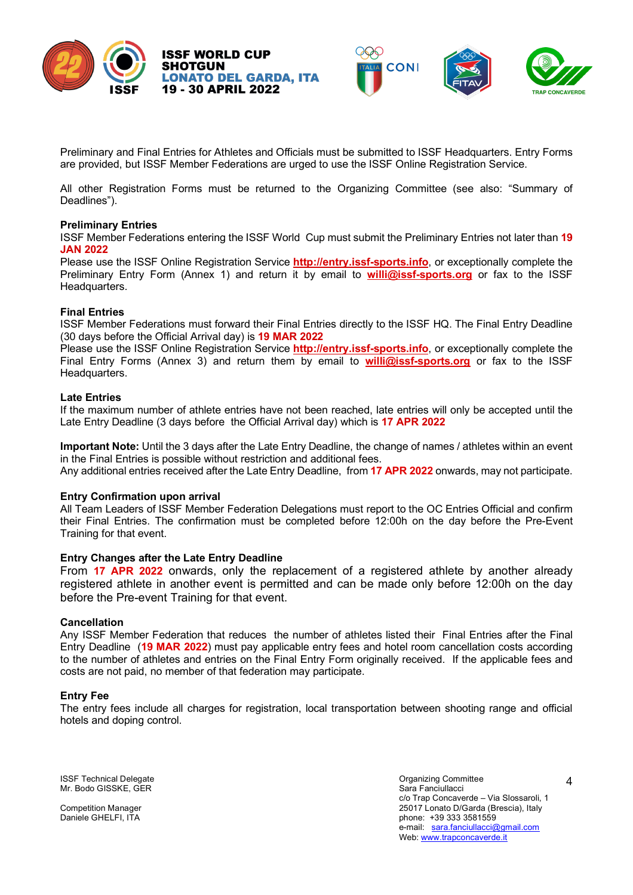



Preliminary and Final Entries for Athletes and Officials must be submitted to ISSF Headquarters. Entry Forms are provided, but ISSF Member Federations are urged to use the ISSF Online Registration Service.

All other Registration Forms must be returned to the Organizing Committee (see also: "Summary of Deadlines").

#### **Preliminary Entries**

ISSF Member Federations entering the ISSF World Cup must submit the Preliminary Entries not later than **19 JAN 2022**

Please use the ISSF Online Registration Service **http://entry.issf-sports.info**, or exceptionally complete the Preliminary Entry Form (Annex 1) and return it by email to **willi@issf-sports.org** or fax to the ISSF Headquarters.

#### **Final Entries**

ISSF Member Federations must forward their Final Entries directly to the ISSF HQ. The Final Entry Deadline (30 days before the Official Arrival day) is **19 MAR 2022**

Please use the ISSF Online Registration Service **http://entry.issf-sports.info**, or exceptionally complete the Final Entry Forms (Annex 3) and return them by email to **willi@issf-sports.org** or fax to the ISSF Headquarters.

#### **Late Entries**

If the maximum number of athlete entries have not been reached, late entries will only be accepted until the Late Entry Deadline (3 days before the Official Arrival day) which is **17 APR 2022**

**Important Note:** Until the 3 days after the Late Entry Deadline, the change of names / athletes within an event in the Final Entries is possible without restriction and additional fees. Any additional entries received after the Late Entry Deadline, from **17 APR 2022** onwards, may not participate.

#### **Entry Confirmation upon arrival**

All Team Leaders of ISSF Member Federation Delegations must report to the OC Entries Official and confirm their Final Entries. The confirmation must be completed before 12:00h on the day before the Pre-Event Training for that event.

#### **Entry Changes after the Late Entry Deadline**

From **17 APR 2022** onwards, only the replacement of a registered athlete by another already registered athlete in another event is permitted and can be made only before 12:00h on the day before the Pre-event Training for that event.

#### **Cancellation**

Any ISSF Member Federation that reduces the number of athletes listed their Final Entries after the Final Entry Deadline (**19 MAR 2022**) must pay applicable entry fees and hotel room cancellation costs according to the number of athletes and entries on the Final Entry Form originally received. If the applicable fees and costs are not paid, no member of that federation may participate.

#### **Entry Fee**

The entry fees include all charges for registration, local transportation between shooting range and official hotels and doping control.

ISSF Technical Delegate<br>
Mr. Bodo GISSKE. GER<br>
Mr. Bodo GISSKE. GER Mr. Bodo GISSKE, GER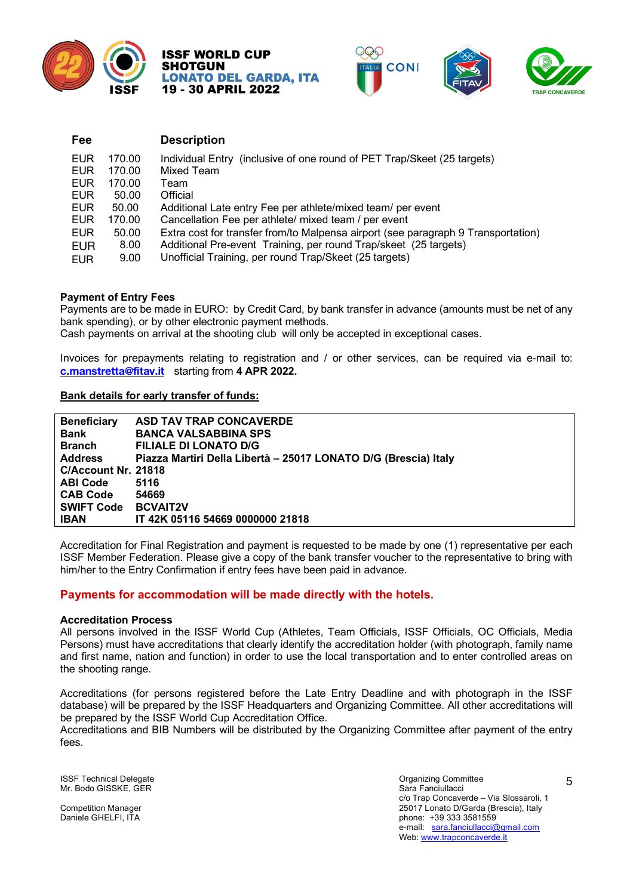









| Fee        |        | <b>Description</b>                                                                |
|------------|--------|-----------------------------------------------------------------------------------|
| EUR        | 170.00 | Individual Entry (inclusive of one round of PET Trap/Skeet (25 targets)           |
| EUR        | 170.00 | Mixed Team                                                                        |
| EUR        | 170.00 | Team                                                                              |
| <b>EUR</b> | 50.00  | Official                                                                          |
| <b>EUR</b> | 50.00  | Additional Late entry Fee per athlete/mixed team/ per event                       |
| EUR        | 170.00 | Cancellation Fee per athlete/ mixed team / per event                              |
| EUR        | 50.00  | Extra cost for transfer from/to Malpensa airport (see paragraph 9 Transportation) |
| <b>EUR</b> | 8.00   | Additional Pre-event Training, per round Trap/skeet (25 targets)                  |
| <b>EUR</b> | 9.00   | Unofficial Training, per round Trap/Skeet (25 targets)                            |

#### **Payment of Entry Fees**

Payments are to be made in EURO: by Credit Card, by bank transfer in advance (amounts must be net of any bank spending), or by other electronic payment methods.

Cash payments on arrival at the shooting club will only be accepted in exceptional cases.

Invoices for prepayments relating to registration and / or other services, can be required via e-mail to: **c.manstretta@fitav.it** starting from **4 APR 2022.**

## **Bank details for early transfer of funds:**

| <b>Beneficiary</b>  | <b>ASD TAV TRAP CONCAVERDE</b>                                  |
|---------------------|-----------------------------------------------------------------|
| <b>Bank</b>         | <b>BANCA VALSABBINA SPS</b>                                     |
| <b>Branch</b>       | <b>FILIALE DI LONATO D/G</b>                                    |
| <b>Address</b>      | Piazza Martiri Della Libertà - 25017 LONATO D/G (Brescia) Italy |
| C/Account Nr. 21818 |                                                                 |
| <b>ABI Code</b>     | 5116                                                            |
| <b>CAB Code</b>     | 54669                                                           |
| <b>SWIFT Code</b>   | <b>BCVAIT2V</b>                                                 |
| <b>IBAN</b>         | IT 42K 05116 54669 0000000 21818                                |

Accreditation for Final Registration and payment is requested to be made by one (1) representative per each ISSF Member Federation. Please give a copy of the bank transfer voucher to the representative to bring with him/her to the Entry Confirmation if entry fees have been paid in advance.

## **Payments for accommodation will be made directly with the hotels.**

#### **Accreditation Process**

All persons involved in the ISSF World Cup (Athletes, Team Officials, ISSF Officials, OC Officials, Media Persons) must have accreditations that clearly identify the accreditation holder (with photograph, family name and first name, nation and function) in order to use the local transportation and to enter controlled areas on the shooting range.

Accreditations (for persons registered before the Late Entry Deadline and with photograph in the ISSF database) will be prepared by the ISSF Headquarters and Organizing Committee. All other accreditations will be prepared by the ISSF World Cup Accreditation Office.

Accreditations and BIB Numbers will be distributed by the Organizing Committee after payment of the entry fees.

ISSF Technical Delegate<br>
Mr. Bodo GISSKE. GER<br>
Mr. Bodo GISSKE. GER Mr. Bodo GISSKE, GER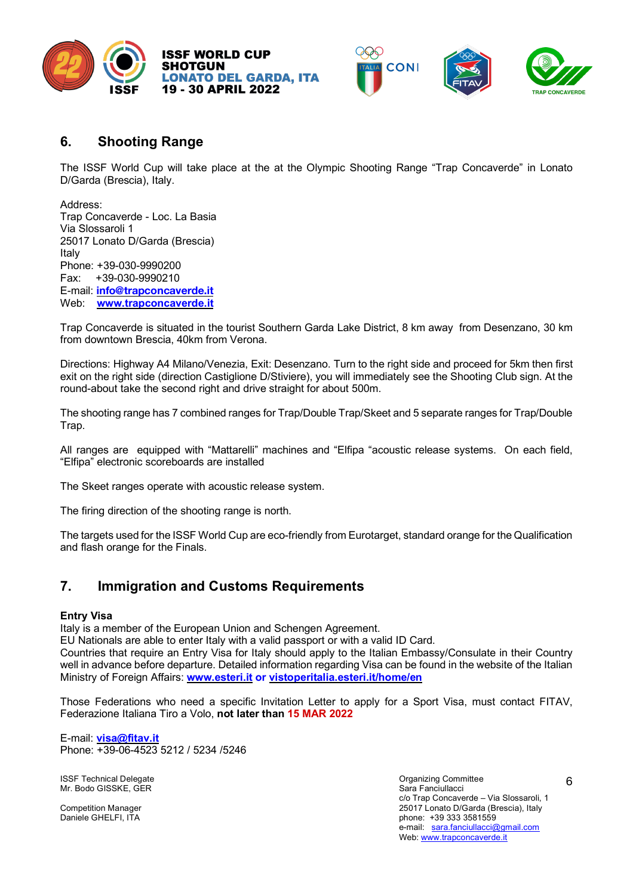





# **6. Shooting Range**

The ISSF World Cup will take place at the at the Olympic Shooting Range "Trap Concaverde" in Lonato D/Garda (Brescia), Italy.

Address: Trap Concaverde - Loc. La Basia Via Slossaroli 1 25017 Lonato D/Garda (Brescia) Italy Phone: +39-030-9990200 Fax: +39-030-9990210 E-mail: **info@trapconcaverde.it** Web: **www.trapconcaverde.it**

Trap Concaverde is situated in the tourist Southern Garda Lake District, 8 km away from Desenzano, 30 km from downtown Brescia, 40km from Verona.

Directions: Highway A4 Milano/Venezia, Exit: Desenzano. Turn to the right side and proceed for 5km then first exit on the right side (direction Castiglione D/Stiviere), you will immediately see the Shooting Club sign. At the round-about take the second right and drive straight for about 500m.

The shooting range has 7 combined ranges for Trap/Double Trap/Skeet and 5 separate ranges for Trap/Double Trap.

All ranges are equipped with "Mattarelli" machines and "Elfipa "acoustic release systems. On each field, "Elfipa" electronic scoreboards are installed

The Skeet ranges operate with acoustic release system.

The firing direction of the shooting range is north.

The targets used for the ISSF World Cup are eco-friendly from Eurotarget, standard orange for the Qualification and flash orange for the Finals.

# **7. Immigration and Customs Requirements**

#### **Entry Visa**

Italy is a member of the European Union and Schengen Agreement.

EU Nationals are able to enter Italy with a valid passport or with a valid ID Card.

Countries that require an Entry Visa for Italy should apply to the Italian Embassy/Consulate in their Country well in advance before departure. Detailed information regarding Visa can be found in the website of the Italian Ministry of Foreign Affairs: **www.esteri.it or vistoperitalia.esteri.it/home/en**

Those Federations who need a specific Invitation Letter to apply for a Sport Visa, must contact FITAV, Federazione Italiana Tiro a Volo, **not later than 15 MAR 2022**

E-mail: **visa@fitav.it**  Phone: +39-06-4523 5212 / 5234 /5246

**ISSF Technical Delegate** Organizing Committee Organizing Committee Mr. Bodo GISSKE, GER Sara Fanciullacci (Server Sara Fanciullacci Sara Fanciullacci Sara Fanciullacci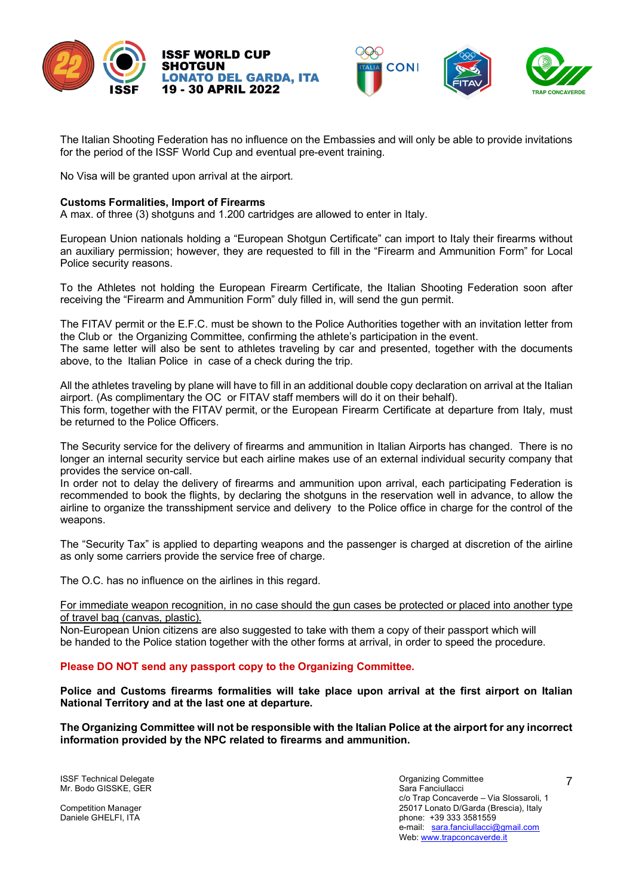





The Italian Shooting Federation has no influence on the Embassies and will only be able to provide invitations for the period of the ISSF World Cup and eventual pre-event training.

No Visa will be granted upon arrival at the airport.

## **Customs Formalities, Import of Firearms**

A max. of three (3) shotguns and 1.200 cartridges are allowed to enter in Italy.

European Union nationals holding a "European Shotgun Certificate" can import to Italy their firearms without an auxiliary permission; however, they are requested to fill in the "Firearm and Ammunition Form" for Local Police security reasons.

To the Athletes not holding the European Firearm Certificate, the Italian Shooting Federation soon after receiving the "Firearm and Ammunition Form" duly filled in, will send the gun permit.

The FITAV permit or the E.F.C. must be shown to the Police Authorities together with an invitation letter from the Club or the Organizing Committee, confirming the athlete's participation in the event. The same letter will also be sent to athletes traveling by car and presented, together with the documents above, to the Italian Police in case of a check during the trip.

All the athletes traveling by plane will have to fill in an additional double copy declaration on arrival at the Italian airport. (As complimentary the OC or FITAV staff members will do it on their behalf). This form, together with the FITAV permit, or the European Firearm Certificate at departure from Italy, must be returned to the Police Officers.

The Security service for the delivery of firearms and ammunition in Italian Airports has changed. There is no longer an internal security service but each airline makes use of an external individual security company that provides the service on-call.

In order not to delay the delivery of firearms and ammunition upon arrival, each participating Federation is recommended to book the flights, by declaring the shotguns in the reservation well in advance, to allow the airline to organize the transshipment service and delivery to the Police office in charge for the control of the weapons.

The "Security Tax" is applied to departing weapons and the passenger is charged at discretion of the airline as only some carriers provide the service free of charge.

The O.C. has no influence on the airlines in this regard.

For immediate weapon recognition, in no case should the gun cases be protected or placed into another type of travel bag (canvas, plastic).

Non-European Union citizens are also suggested to take with them a copy of their passport which will be handed to the Police station together with the other forms at arrival, in order to speed the procedure.

## **Please DO NOT send any passport copy to the Organizing Committee.**

**Police and Customs firearms formalities will take place upon arrival at the first airport on Italian National Territory and at the last one at departure.**

**The Organizing Committee will not be responsible with the Italian Police at the airport for any incorrect information provided by the NPC related to firearms and ammunition.**

ISSF Technical Delegate<br>
Mr. Bodo GISSKE. GER<br>
Mr. Bodo GISSKE. GER Mr. Bodo GISSKE, GER

c/o Trap Concaverde – Via Slossaroli, 1 Competition Manager 25017 Lonato D/Garda (Brescia), Italy<br>
Daniele GHELFI, ITA phone: +39 333 3581559 e-mail: sara.fanciullacci@gmail.com Web: www.trapconcaverde.it

7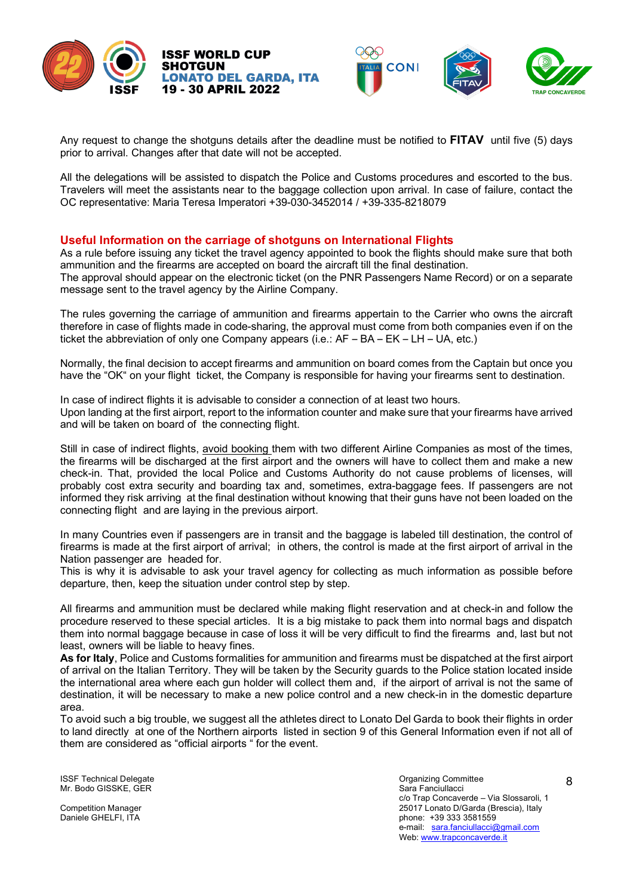









All the delegations will be assisted to dispatch the Police and Customs procedures and escorted to the bus. Travelers will meet the assistants near to the baggage collection upon arrival. In case of failure, contact the OC representative: Maria Teresa Imperatori +39-030-3452014 / +39-335-8218079

## **Useful Information on the carriage of shotguns on International Flights**

As a rule before issuing any ticket the travel agency appointed to book the flights should make sure that both ammunition and the firearms are accepted on board the aircraft till the final destination. The approval should appear on the electronic ticket (on the PNR Passengers Name Record) or on a separate message sent to the travel agency by the Airline Company.

The rules governing the carriage of ammunition and firearms appertain to the Carrier who owns the aircraft therefore in case of flights made in code-sharing, the approval must come from both companies even if on the ticket the abbreviation of only one Company appears (i.e.: AF – BA – EK – LH – UA, etc.)

Normally, the final decision to accept firearms and ammunition on board comes from the Captain but once you have the "OK" on your flight ticket, the Company is responsible for having your firearms sent to destination.

In case of indirect flights it is advisable to consider a connection of at least two hours. Upon landing at the first airport, report to the information counter and make sure that your firearms have arrived and will be taken on board of the connecting flight.

Still in case of indirect flights, avoid booking them with two different Airline Companies as most of the times, the firearms will be discharged at the first airport and the owners will have to collect them and make a new check-in. That, provided the local Police and Customs Authority do not cause problems of licenses, will probably cost extra security and boarding tax and, sometimes, extra-baggage fees. If passengers are not informed they risk arriving at the final destination without knowing that their guns have not been loaded on the connecting flight and are laying in the previous airport.

In many Countries even if passengers are in transit and the baggage is labeled till destination, the control of firearms is made at the first airport of arrival; in others, the control is made at the first airport of arrival in the Nation passenger are headed for.

This is why it is advisable to ask your travel agency for collecting as much information as possible before departure, then, keep the situation under control step by step.

All firearms and ammunition must be declared while making flight reservation and at check-in and follow the procedure reserved to these special articles. It is a big mistake to pack them into normal bags and dispatch them into normal baggage because in case of loss it will be very difficult to find the firearms and, last but not least, owners will be liable to heavy fines.

**As for Italy**, Police and Customs formalities for ammunition and firearms must be dispatched at the first airport of arrival on the Italian Territory. They will be taken by the Security guards to the Police station located inside the international area where each gun holder will collect them and, if the airport of arrival is not the same of destination, it will be necessary to make a new police control and a new check-in in the domestic departure area.

To avoid such a big trouble, we suggest all the athletes direct to Lonato Del Garda to book their flights in order to land directly at one of the Northern airports listed in section 9 of this General Information even if not all of them are considered as "official airports " for the event.

ISSF Technical Delegate<br>
ISSF Technical Delegate<br>
Mr. Bodo GISSKE. GER Mr. Bodo GISSKE, GER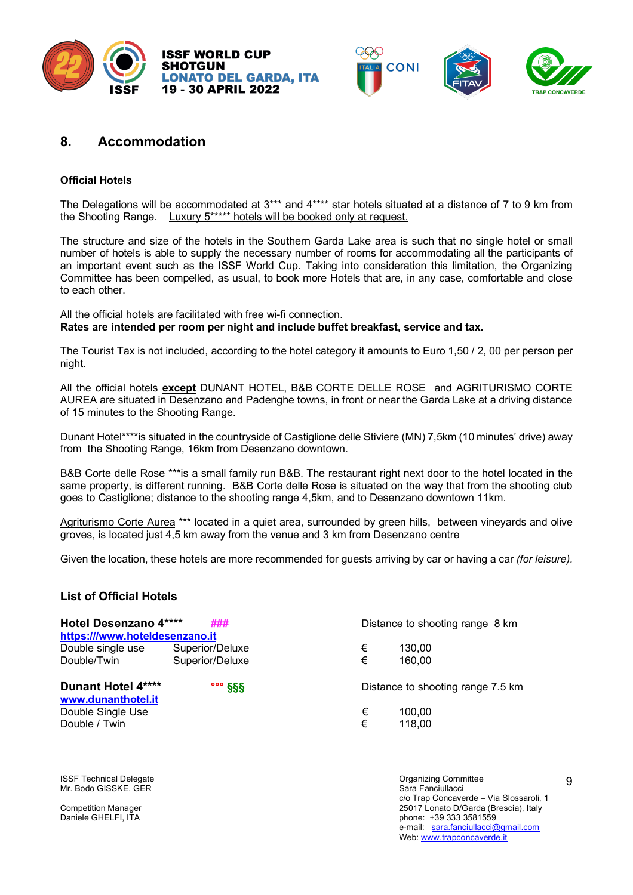







# **8. Accommodation**

## **Official Hotels**

The Delegations will be accommodated at 3\*\*\* and 4\*\*\*\* star hotels situated at a distance of 7 to 9 km from the Shooting Range. Luxury 5\*\*\*\*\* hotels will be booked only at request.

The structure and size of the hotels in the Southern Garda Lake area is such that no single hotel or small number of hotels is able to supply the necessary number of rooms for accommodating all the participants of an important event such as the ISSF World Cup. Taking into consideration this limitation, the Organizing Committee has been compelled, as usual, to book more Hotels that are, in any case, comfortable and close to each other.

All the official hotels are facilitated with free wi-fi connection. **Rates are intended per room per night and include buffet breakfast, service and tax.**

The Tourist Tax is not included, according to the hotel category it amounts to Euro 1,50 / 2, 00 per person per night.

All the official hotels **except** DUNANT HOTEL, B&B CORTE DELLE ROSE and AGRITURISMO CORTE AUREA are situated in Desenzano and Padenghe towns, in front or near the Garda Lake at a driving distance of 15 minutes to the Shooting Range.

Dunant Hotel\*\*\*\*is situated in the countryside of Castiglione delle Stiviere (MN) 7,5km (10 minutes' drive) away from the Shooting Range, 16km from Desenzano downtown.

B&B Corte delle Rose \*\*\*is a small family run B&B. The restaurant right next door to the hotel located in the same property, is different running. B&B Corte delle Rose is situated on the way that from the shooting club goes to Castiglione; distance to the shooting range 4,5km, and to Desenzano downtown 11km.

Agriturismo Corte Aurea \*\*\* located in a quiet area, surrounded by green hills, between vineyards and olive groves, is located just 4,5 km away from the venue and 3 km from Desenzano centre

Given the location, these hotels are more recommended for guests arriving by car or having a car *(for leisure).*

## **List of Official Hotels**

| Hotel Desenzano 4****<br>https:///www.hoteldesenzano.it | ###                | Distance to shooting range 8 km |                                   |  |  |
|---------------------------------------------------------|--------------------|---------------------------------|-----------------------------------|--|--|
| Double single use                                       | Superior/Deluxe    | €                               | 130.00                            |  |  |
| Double/Twin                                             | Superior/Deluxe    | €                               | 160.00                            |  |  |
| Dunant Hotel 4****<br>www.dunanthotel.it                | $\frac{888}{1000}$ |                                 | Distance to shooting range 7.5 km |  |  |
| Double Single Use                                       |                    | €                               | 100.00                            |  |  |
| Double / Twin                                           |                    | €                               | 118,00                            |  |  |

ISSF Technical Delegate<br>
Mr. Bodo GISSKE. GER<br>
Mr. Bodo GISSKE. GER Mr. Bodo GISSKE, GER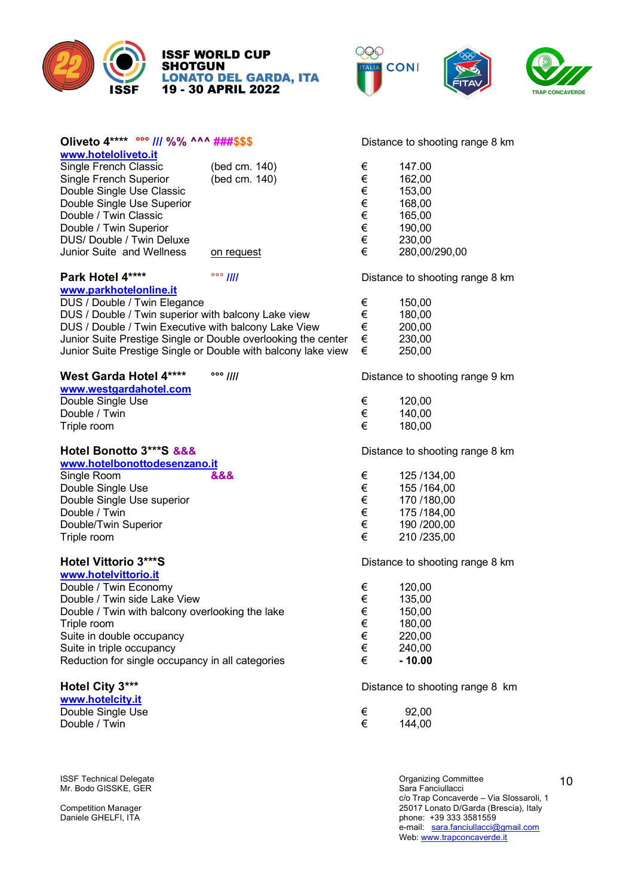

# **ISSF WORLD CUP<br>SHOTGUN LONATO DEL GARDA, ITA<br>19 - 30 APRIL 2022**



| Oliveto 4**** 000 /// %% ^^^ ###\$\$\$                        |                    |       | Distance to shooting range 8 km                  |
|---------------------------------------------------------------|--------------------|-------|--------------------------------------------------|
| www.hoteloliveto.it                                           |                    |       |                                                  |
| Single French Classic                                         | (bed cm. 140)      | €     | 147.00                                           |
| Single French Superior                                        | (bed cm. 140)      | €     | 162,00                                           |
| Double Single Use Classic                                     |                    | €     | 153,00                                           |
| Double Single Use Superior                                    |                    | €€    | 168,00                                           |
| Double / Twin Classic                                         |                    |       | 165,00                                           |
| Double / Twin Superior                                        |                    |       | 190,00                                           |
| DUS/ Double / Twin Deluxe                                     |                    | $\in$ | 230,00                                           |
| Junior Suite and Wellness                                     | on request         | €     | 280,00/290,00                                    |
| Park Hotel 4****                                              | $\circ \circ$ //// |       | Distance to shooting range 8 km                  |
| www.parkhotelonline.it                                        |                    |       |                                                  |
| DUS / Double / Twin Elegance                                  |                    | €     | 150,00                                           |
| DUS / Double / Twin superior with balcony Lake view           |                    | $\in$ | 180,00                                           |
| DUS / Double / Twin Executive with balcony Lake View          |                    | $\in$ | 200,00                                           |
|                                                               |                    |       |                                                  |
| Junior Suite Prestige Single or Double overlooking the center |                    | $\in$ | 230,00                                           |
| Junior Suite Prestige Single or Double with balcony lake view |                    | €     | 250,00                                           |
| West Garda Hotel 4****                                        | $\circ \circ$ //// |       | Distance to shooting range 9 km                  |
| www.westgardahotel.com                                        |                    |       |                                                  |
| Double Single Use                                             |                    | €     | 120,00                                           |
| Double / Twin                                                 |                    | $\in$ | 140,00                                           |
| Triple room                                                   |                    | €     | 180,00                                           |
| Hotel Bonotto 3***S &&&                                       |                    |       | Distance to shooting range 8 km                  |
| www.hotelbonottodesenzano.it                                  |                    |       |                                                  |
| Single Room                                                   | &&&                | €     | 125 /134,00                                      |
| Double Single Use                                             |                    | $\in$ | 155 / 164,00                                     |
|                                                               |                    | $\in$ |                                                  |
| Double Single Use superior                                    |                    |       | 170 /180,00                                      |
| Double / Twin                                                 |                    | $\in$ | 175 / 184,00                                     |
| Double/Twin Superior                                          |                    | $\in$ | 190 /200,00                                      |
| Triple room                                                   |                    | €     | 210 /235,00                                      |
| Hotel Vittorio 3***S                                          |                    |       | Distance to shooting range 8 km                  |
| www.hotelvittorio.it                                          |                    |       |                                                  |
| Double / Twin Economy                                         |                    | €     | 120,00                                           |
| Double / Twin side Lake View                                  |                    | €     | 135,00                                           |
| Double / Twin with balcony overlooking the lake               |                    | €     | 150,00                                           |
| Triple room                                                   |                    |       | 180,00                                           |
|                                                               |                    | €     | 220,00                                           |
| Suite in double occupancy                                     |                    |       |                                                  |
| Suite in triple occupancy                                     |                    | €     | 240,00                                           |
| Reduction for single occupancy in all categories              |                    | €     | $-10.00$                                         |
| Hotel City 3***                                               |                    |       | Distance to shooting range 8 km                  |
| www.hotelcity.it                                              |                    |       |                                                  |
| Double Single Use                                             |                    | €     | 92,00                                            |
| Double / Twin                                                 |                    | €     | 144,00                                           |
|                                                               |                    |       |                                                  |
|                                                               |                    |       |                                                  |
| <b>ISSF Technical Delegate</b><br>Mr. Bodo GISSKE, GER        |                    |       | <b>Organizing Committee</b><br>Sara Fanciullacci |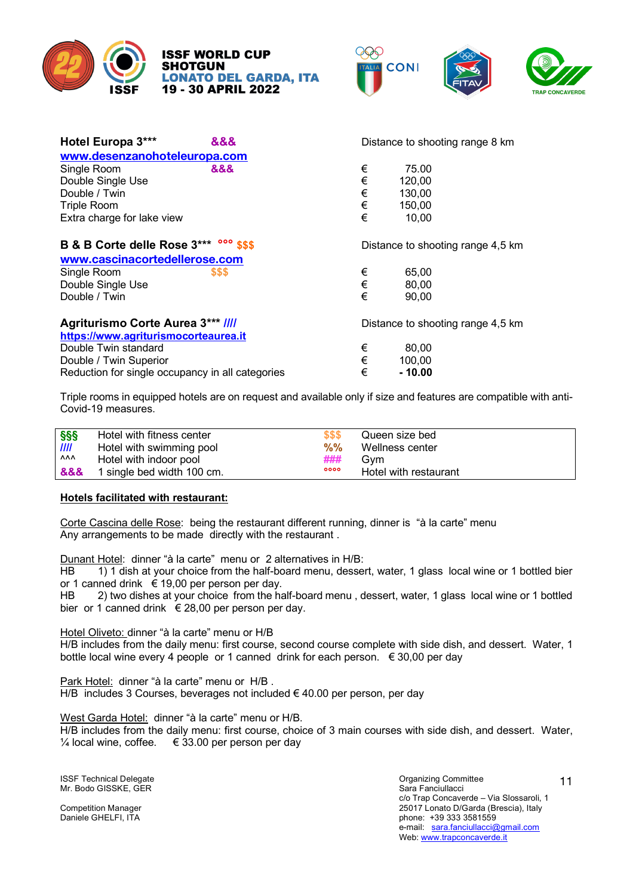





| Hotel Europa 3***                                | 888 | Distance to shooting range 8 km |                                   |  |  |  |
|--------------------------------------------------|-----|---------------------------------|-----------------------------------|--|--|--|
| www.desenzanohoteleuropa.com                     |     |                                 |                                   |  |  |  |
| Single Room                                      | &&& | €                               | 75.00                             |  |  |  |
| Double Single Use                                |     | $\in$                           | 120,00                            |  |  |  |
| Double / Twin                                    |     | €                               | 130,00                            |  |  |  |
| <b>Triple Room</b>                               |     | $\in$                           | 150,00                            |  |  |  |
| Extra charge for lake view                       |     | €                               | 10,00                             |  |  |  |
| B & B Corte delle Rose 3*** 000 \$\$\$           |     |                                 | Distance to shooting range 4,5 km |  |  |  |
| www.cascinacortedellerose.com                    |     |                                 |                                   |  |  |  |
| Single Room                                      | SSS | €                               | 65,00                             |  |  |  |
| Double Single Use                                |     | $\in$                           | 80,00                             |  |  |  |
| Double / Twin                                    |     | €                               | 90,00                             |  |  |  |
| <b>Agriturismo Corte Aurea 3*** ////</b>         |     |                                 | Distance to shooting range 4,5 km |  |  |  |
| https://www.agriturismocorteaurea.it             |     |                                 |                                   |  |  |  |
| Double Twin standard                             |     | €                               | 80,00                             |  |  |  |
| Double / Twin Superior                           |     | €                               | 100,00                            |  |  |  |
| Reduction for single occupancy in all categories |     |                                 | $-10.00$                          |  |  |  |

Triple rooms in equipped hotels are on request and available only if size and features are compatible with anti-Covid-19 measures.

| <b>SSS</b> | Hotel with fitness center  | \$\$\$ | Queen size bed        |
|------------|----------------------------|--------|-----------------------|
| III        | Hotel with swimming pool   | %%     | Wellness center       |
| ۸ΛΛ        | Hotel with indoor pool     | ###    | Gvm                   |
| &&&        | 1 single bed width 100 cm. | 0000   | Hotel with restaurant |

#### **Hotels facilitated with restaurant:**

Corte Cascina delle Rose: being the restaurant different running, dinner is "à la carte" menu Any arrangements to be made directly with the restaurant .

Dunant Hotel: dinner "à la carte" menu or 2 alternatives in H/B:

HB 1) 1 dish at your choice from the half-board menu, dessert, water, 1 glass local wine or 1 bottled bier or 1 canned drink € 19,00 per person per day.

HB 2) two dishes at your choice from the half-board menu, dessert, water, 1 glass local wine or 1 bottled bier or 1 canned drink  $\epsilon$  28,00 per person per day.

Hotel Oliveto: dinner "à la carte" menu or H/B

H/B includes from the daily menu: first course, second course complete with side dish, and dessert. Water, 1 bottle local wine every 4 people or 1 canned drink for each person. € 30,00 per day

Park Hotel: dinner "à la carte" menu or H/B . H/B includes 3 Courses, beverages not included € 40.00 per person, per day

West Garda Hotel: dinner "à la carte" menu or H/B.

H/B includes from the daily menu: first course, choice of 3 main courses with side dish, and dessert. Water,  $\frac{1}{4}$  local wine, coffee. € 33.00 per person per day

ISSF Technical Delegate<br>
ISSF Technical Delegate<br>
Mr. Bodo GISSKE. GER Mr. Bodo GISSKE, GER

c/o Trap Concaverde – Via Slossaroli, 1 Competition Manager 25017 Lonato D/Garda (Brescia), Italy<br>
Daniele GHELFI, ITA phone: +39 333 3581559 e-mail: sara.fanciullacci@gmail.com Web: www.trapconcaverde.it

11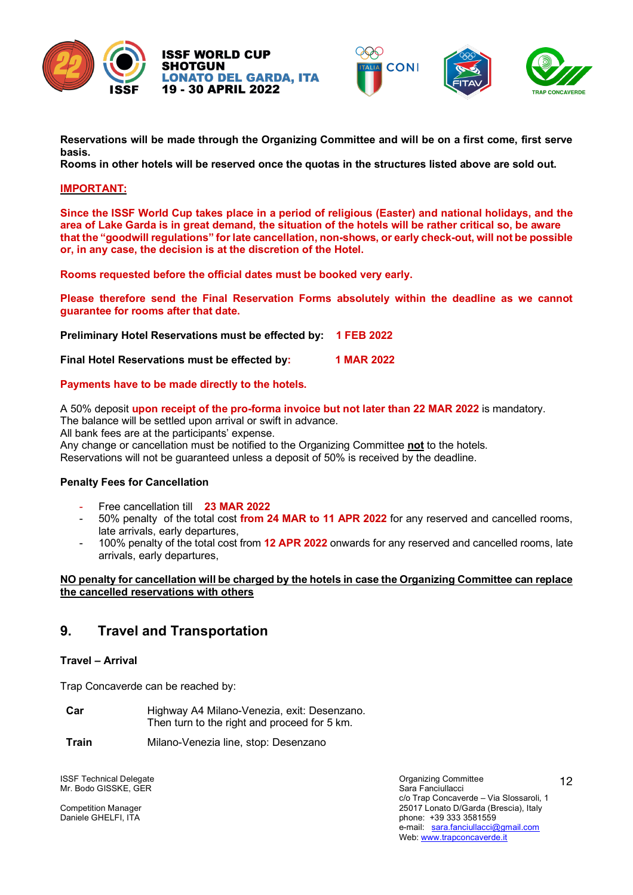







**Reservations will be made through the Organizing Committee and will be on a first come, first serve basis.**

**Rooms in other hotels will be reserved once the quotas in the structures listed above are sold out.**

### **IMPORTANT:**

**Since the ISSF World Cup takes place in a period of religious (Easter) and national holidays, and the area of Lake Garda is in great demand, the situation of the hotels will be rather critical so, be aware that the "goodwill regulations" for late cancellation, non-shows, or early check-out, will not be possible or, in any case, the decision is at the discretion of the Hotel.**

**Rooms requested before the official dates must be booked very early.**

**Please therefore send the Final Reservation Forms absolutely within the deadline as we cannot guarantee for rooms after that date.** 

**Preliminary Hotel Reservations must be effected by: 1 FEB 2022**

**Final Hotel Reservations must be effected by: 1 MAR 2022**

## **Payments have to be made directly to the hotels.**

A 50% deposit **upon receipt of the pro-forma invoice but not later than 22 MAR 2022** is mandatory. The balance will be settled upon arrival or swift in advance. All bank fees are at the participants' expense. Any change or cancellation must be notified to the Organizing Committee **not** to the hotels. Reservations will not be guaranteed unless a deposit of 50% is received by the deadline.

## **Penalty Fees for Cancellation**

- Free cancellation till **23 MAR 2022**
- 50% penalty of the total cost **from 24 MAR to 11 APR 2022** for any reserved and cancelled rooms, late arrivals, early departures,
- 100% penalty of the total cost from **12 APR 2022** onwards for any reserved and cancelled rooms, late arrivals, early departures,

## **NO penalty for cancellation will be charged by the hotels in case the Organizing Committee can replace the cancelled reservations with others**

# **9. Travel and Transportation**

## **Travel – Arrival**

Trap Concaverde can be reached by:

- **Car** Highway A4 Milano-Venezia, exit: Desenzano. Then turn to the right and proceed for 5 km.
- **Train** Milano-Venezia line, stop: Desenzano

ISSF Technical Delegate<br>
Mr. Bodo GISSKE. GER<br>
Mr. Bodo GISSKE. GER Mr. Bodo GISSKE, GER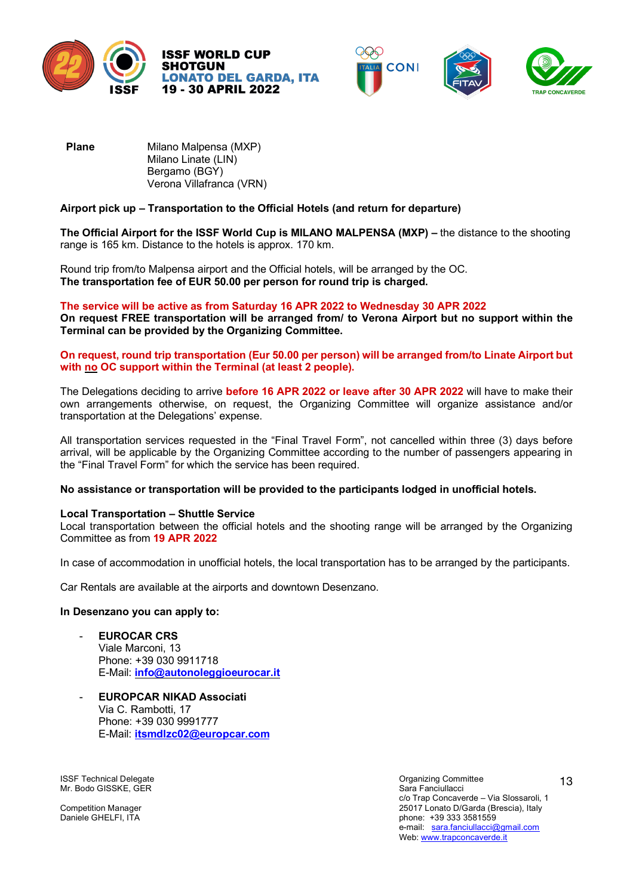







**Plane** Milano Malpensa (MXP) Milano Linate (LIN) Bergamo (BGY) Verona Villafranca (VRN)

## **Airport pick up – Transportation to the Official Hotels (and return for departure)**

**The Official Airport for the ISSF World Cup is MILANO MALPENSA (MXP) –** the distance to the shooting range is 165 km. Distance to the hotels is approx. 170 km.

Round trip from/to Malpensa airport and the Official hotels, will be arranged by the OC. **The transportation fee of EUR 50.00 per person for round trip is charged.** 

#### **The service will be active as from Saturday 16 APR 2022 to Wednesday 30 APR 2022**

**On request FREE transportation will be arranged from/ to Verona Airport but no support within the Terminal can be provided by the Organizing Committee.**

**On request, round trip transportation (Eur 50.00 per person) will be arranged from/to Linate Airport but with no OC support within the Terminal (at least 2 people).**

The Delegations deciding to arrive **before 16 APR 2022 or leave after 30 APR 2022** will have to make their own arrangements otherwise, on request, the Organizing Committee will organize assistance and/or transportation at the Delegations' expense.

All transportation services requested in the "Final Travel Form", not cancelled within three (3) days before arrival, will be applicable by the Organizing Committee according to the number of passengers appearing in the "Final Travel Form" for which the service has been required.

## **No assistance or transportation will be provided to the participants lodged in unofficial hotels.**

## **Local Transportation – Shuttle Service**

Local transportation between the official hotels and the shooting range will be arranged by the Organizing Committee as from **19 APR 2022**

In case of accommodation in unofficial hotels, the local transportation has to be arranged by the participants.

Car Rentals are available at the airports and downtown Desenzano.

#### **In Desenzano you can apply to:**

- **EUROCAR CRS** Viale Marconi, 13 Phone: +39 030 9911718 E-Mail: **info@autonoleggioeurocar.it**
- **EUROPCAR NIKAD Associati** Via C. Rambotti, 17 Phone: +39 030 9991777 E-Mail: **itsmdlzc02@europcar.com**

**ISSF Technical Delegate** Organizing Committee Organizing Committee Mr. Bodo GISSKE, GER Sara Fanciullacci (Server Sara Fanciullacci Sara Fanciullacci Sara Fanciullacci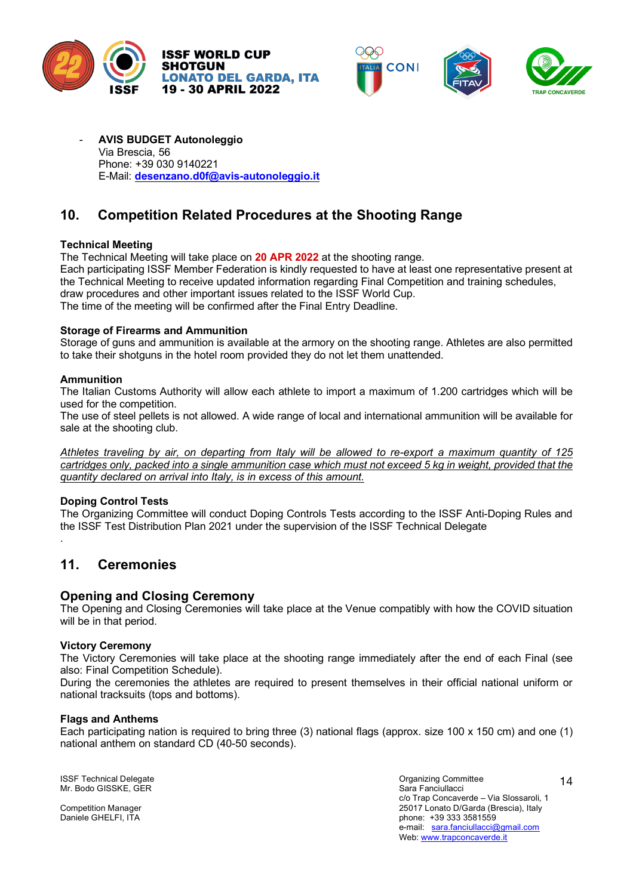





- **AVIS BUDGET Autonoleggio** Via Brescia, 56 Phone: +39 030 9140221 E-Mail: **desenzano.d0f@avis-autonoleggio.it**

# **10. Competition Related Procedures at the Shooting Range**

## **Technical Meeting**

The Technical Meeting will take place on **20 APR 2022** at the shooting range.

Each participating ISSF Member Federation is kindly requested to have at least one representative present at the Technical Meeting to receive updated information regarding Final Competition and training schedules, draw procedures and other important issues related to the ISSF World Cup. The time of the meeting will be confirmed after the Final Entry Deadline.

**Storage of Firearms and Ammunition** 

Storage of guns and ammunition is available at the armory on the shooting range. Athletes are also permitted to take their shotguns in the hotel room provided they do not let them unattended.

## **Ammunition**

The Italian Customs Authority will allow each athlete to import a maximum of 1.200 cartridges which will be used for the competition.

The use of steel pellets is not allowed. A wide range of local and international ammunition will be available for sale at the shooting club.

*Athletes traveling by air, on departing from Italy will be allowed to re-export a maximum quantity of 125 cartridges only, packed into a single ammunition case which must not exceed 5 kg in weight, provided that the quantity declared on arrival into Italy, is in excess of this amount.*

## **Doping Control Tests**

.

The Organizing Committee will conduct Doping Controls Tests according to the ISSF Anti-Doping Rules and the ISSF Test Distribution Plan 2021 under the supervision of the ISSF Technical Delegate

# **11. Ceremonies**

## **Opening and Closing Ceremony**

The Opening and Closing Ceremonies will take place at the Venue compatibly with how the COVID situation will be in that period.

## **Victory Ceremony**

The Victory Ceremonies will take place at the shooting range immediately after the end of each Final (see also: Final Competition Schedule).

During the ceremonies the athletes are required to present themselves in their official national uniform or national tracksuits (tops and bottoms).

#### **Flags and Anthems**

Each participating nation is required to bring three (3) national flags (approx. size 100 x 150 cm) and one (1) national anthem on standard CD (40-50 seconds).

ISSF Technical Delegate<br>
Mr. Bodo GISSKE. GER<br>
Mr. Bodo GISSKE. GER Mr. Bodo GISSKE, GER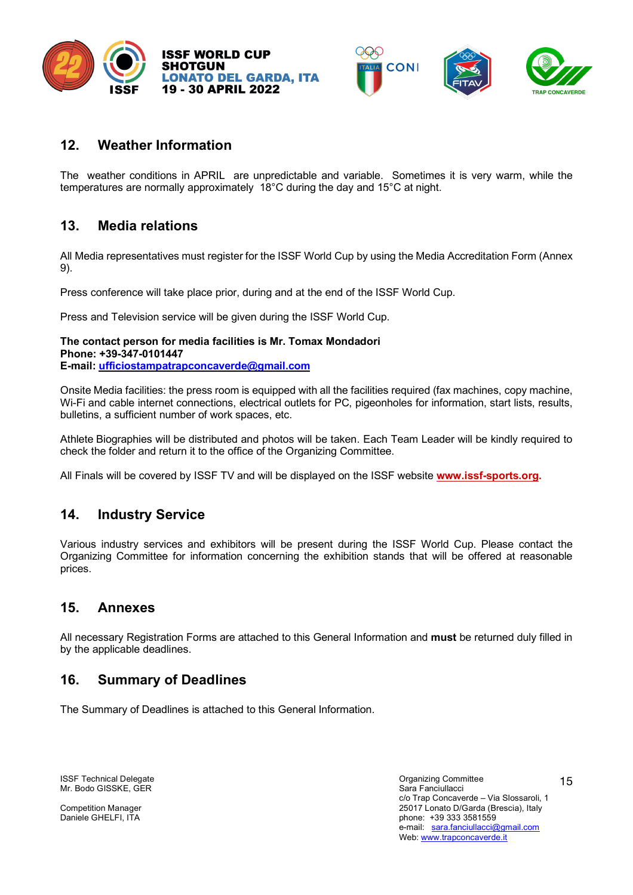





# **12. Weather Information**

The weather conditions in APRIL are unpredictable and variable. Sometimes it is very warm, while the temperatures are normally approximately 18°C during the day and 15°C at night.

# **13. Media relations**

All Media representatives must register for the ISSF World Cup by using the Media Accreditation Form (Annex 9).

Press conference will take place prior, during and at the end of the ISSF World Cup.

Press and Television service will be given during the ISSF World Cup.

**The contact person for media facilities is Mr. Tomax Mondadori Phone: +39-347-0101447 E-mail: ufficiostampatrapconcaverde@gmail.com**

Onsite Media facilities: the press room is equipped with all the facilities required (fax machines, copy machine, Wi-Fi and cable internet connections, electrical outlets for PC, pigeonholes for information, start lists, results, bulletins, a sufficient number of work spaces, etc.

Athlete Biographies will be distributed and photos will be taken. Each Team Leader will be kindly required to check the folder and return it to the office of the Organizing Committee.

All Finals will be covered by ISSF TV and will be displayed on the ISSF website **www.issf-sports.org.** 

# **14. Industry Service**

Various industry services and exhibitors will be present during the ISSF World Cup. Please contact the Organizing Committee for information concerning the exhibition stands that will be offered at reasonable prices.

# **15. Annexes**

All necessary Registration Forms are attached to this General Information and **must** be returned duly filled in by the applicable deadlines.

# **16. Summary of Deadlines**

The Summary of Deadlines is attached to this General Information.

ISSF Technical Delegate<br>
Mr. Bodo GISSKE. GER<br>
Mr. Bodo GISSKE. GER Mr. Bodo GISSKE, GER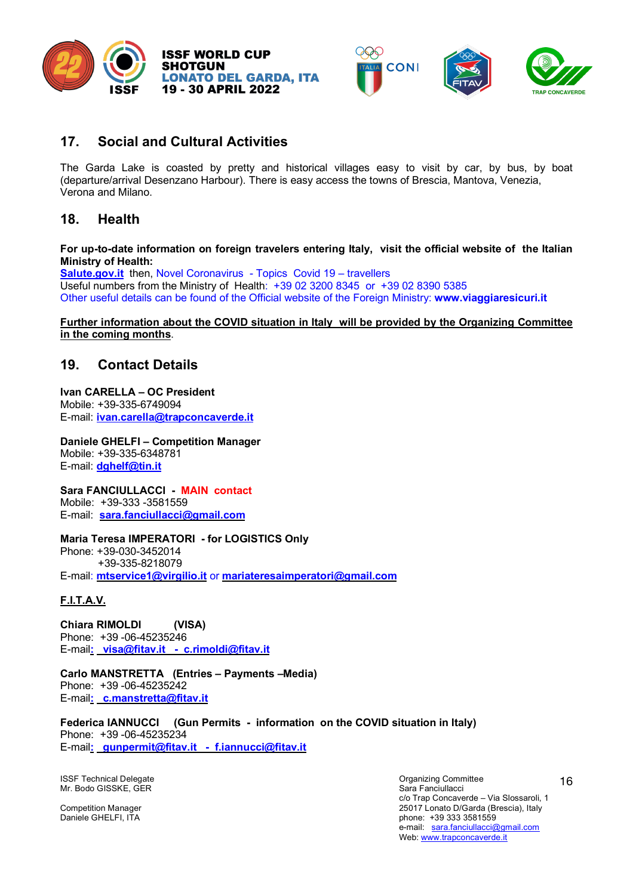



# **17. Social and Cultural Activities**

The Garda Lake is coasted by pretty and historical villages easy to visit by car, by bus, by boat (departure/arrival Desenzano Harbour). There is easy access the towns of Brescia, Mantova, Venezia, Verona and Milano.

# **18. Health**

**For up-to-date information on foreign travelers entering Italy, visit the official website of the Italian Ministry of Health:**

**Salute.gov.it** then, Novel Coronavirus - Topics Covid 19 – travellers Useful numbers from the Ministry of Health: +39 02 3200 8345 or +39 02 8390 5385 Other useful details can be found of the Official website of the Foreign Ministry: **www.viaggiaresicuri.it**

#### **Further information about the COVID situation in Italy will be provided by the Organizing Committee in the coming months**.

# **19. Contact Details**

**Ivan CARELLA – OC President** Mobile: +39-335-6749094 E-mail: **ivan.carella@trapconcaverde.it**

**Daniele GHELFI – Competition Manager** Mobile: +39-335-6348781 E-mail: **dghelf@tin.it**

**Sara FANCIULLACCI - MAIN contact** Mobile: +39-333 -3581559 E-mail: **sara.fanciullacci@gmail.com**

**Maria Teresa IMPERATORI - for LOGISTICS Only**

Phone: +39-030-3452014 +39-335-8218079 E-mail: **mtservice1@virgilio.it** or **mariateresaimperatori@gmail.com**

# **F.I.T.A.V.**

**Chiara RIMOLDI (VISA)** Phone: +39 -06-45235246 E-mail**: visa@fitav.it - c.rimoldi@fitav.it**

**Carlo MANSTRETTA (Entries – Payments –Media)** Phone: +39 -06-45235242 E-mail**: c.manstretta@fitav.it**

**Federica IANNUCCI (Gun Permits - information on the COVID situation in Italy)** Phone: +39 -06-45235234 E-mail**: gunpermit@fitav.it - f.iannucci@fitav.it**

ISSF Technical Delegate<br>
ISSF Technical Delegate<br>
Mr. Bodo GISSKE. GER Mr. Bodo GISSKE, GER